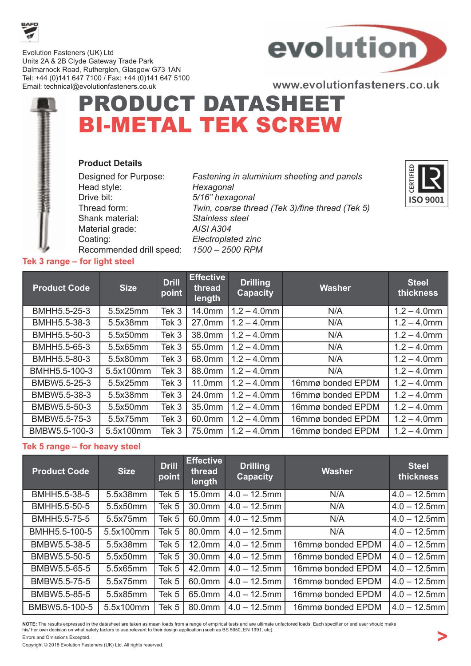

Evolution Fasteners (UK) Ltd Units 2A & 2B Clyde Gateway Trade Park Dalmarnock Road, Rutherglen, Glasgow G73 1AN Tel: +44 (0)141 647 7100 / Fax: +44 (0)141 647 5100 Email: technical@evolutionfasteners.co.uk



www.evolutionfasteners.co.uk

## PRODUCT DATASHEET BI-METAL TEK SCREW Product Details

| Designed for Purpose:    |  |
|--------------------------|--|
| Head style:              |  |
| Drive bit:               |  |
| Thread form:             |  |
| Shank material:          |  |
| Material grade:          |  |
| Coating:                 |  |
| Recommended drill speed: |  |

Fastening in aluminium sheeting and panels Hexagonal 5/16" hexagonal Twin, coarse thread (Tek 3)/fine thread (Tek 5) Stainless steel AISI A304 Electroplated zinc 1500 – 2500 RPM



| <b>Product Code</b> | <b>Size</b> | <b>Drill</b><br>point | <b>Effective</b><br>thread<br>length | <b>Drilling</b><br><b>Capacity</b> | <b>Washer</b>     | <b>Steel</b><br>thickness |
|---------------------|-------------|-----------------------|--------------------------------------|------------------------------------|-------------------|---------------------------|
| BMHH5.5-25-3        | 5.5x25mm    | Tek 3                 | 14.0mm                               | $1.2 - 4.0$ mm                     | N/A               | $1.2 - 4.0$ mm            |
| BMHH5.5-38-3        | 5.5x38mm    | Tek 3                 | 27.0mm                               | $1.2 - 4.0$ mm                     | N/A               | $1.2 - 4.0$ mm            |
| BMHH5.5-50-3        | 5.5x50mm    | Tek 3                 | 38.0mm                               | $1.2 - 4.0$ mm                     | N/A               | $1.2 - 4.0$ mm            |
| BMHH5.5-65-3        | 5.5x65mm    | Tek 3                 | 55.0mm                               | $1.2 - 4.0$ mm                     | N/A               | $1.2 - 4.0$ mm            |
| BMHH5.5-80-3        | 5.5x80mm    | Tek 3                 | 68.0mm                               | $1.2 - 4.0$ mm                     | N/A               | $1.2 - 4.0$ mm            |
| BMHH5.5-100-3       | 5.5x100mm   | Tek 3                 | 88.0mm                               | $1.2 - 4.0$ mm                     | N/A               | $1.2 - 4.0$ mm            |
| BMBW5.5-25-3        | 5.5x25mm    | Tek 3                 | $11.0$ mm                            | $1.2 - 4.0$ mm                     | 16mmø bonded EPDM | $1.2 - 4.0$ mm            |
| BMBW5.5-38-3        | 5.5x38mm    | Tek 3                 | 24.0mm                               | $1.2 - 4.0$ mm                     | 16mmø bonded EPDM | $1.2 - 4.0$ mm            |
| BMBW5.5-50-3        | 5.5x50mm    | Tek 3                 | 35.0mm                               | $1.2 - 4.0$ mm                     | 16mmø bonded EPDM | $1.2 - 4.0$ mm            |
| BMBW5.5-75-3        | 5.5x75mm    | Tek 3                 | 60.0mm                               | $1.2 - 4.0$ mm                     | 16mmø bonded EPDM | $1.2 - 4.0$ mm            |
| BMBW5.5-100-3       | 5.5x100mm   | Tek 3                 | 75.0mm                               | $1.2 - 4.0$ mm                     | 16mmø bonded EPDM | $1.2 - 4.0$ mm            |

## Tek 5 range – for heavy steel

Tek 3 range – for light steel

| <b>Product Code</b> | <b>Size</b> | <b>Drill</b><br>point | <b>Effective</b><br>thread<br>length | <b>Drilling</b><br><b>Capacity</b> | <b>Washer</b>     | <b>Steel</b><br>thickness |
|---------------------|-------------|-----------------------|--------------------------------------|------------------------------------|-------------------|---------------------------|
| BMHH5.5-38-5        | 5.5x38mm    | Tek <sub>5</sub>      | 15.0mm                               | $4.0 - 12.5$ mm                    | N/A               | $4.0 - 12.5$ mm           |
| BMHH5.5-50-5        | 5.5x50mm    | Tek 5                 | 30.0mm                               | $4.0 - 12.5$ mm                    | N/A               | $4.0 - 12.5$ mm           |
| BMHH5.5-75-5        | 5.5x75mm    | Tek 5                 | 60.0mm                               | $4.0 - 12.5$ mm                    | N/A               | $4.0 - 12.5$ mm           |
| BMHH5.5-100-5       | 5.5x100mm   | Tek 5                 | 80.0mm                               | $4.0 - 12.5$ mm                    | N/A               | $4.0 - 12.5$ mm           |
| BMBW5.5-38-5        | 5.5x38mm    | Tek 5                 | 12.0mm                               | $4.0 - 12.5$ mm                    | 16mmø bonded EPDM | $4.0 - 12.5$ mm           |
| BMBW5.5-50-5        | 5.5x50mm    | Tek <sub>5</sub>      | 30.0mm                               | $4.0 - 12.5$ mm                    | 16mmø bonded EPDM | $4.0 - 12.5$ mm           |
| BMBW5.5-65-5        | 5.5x65mm    | Tek 5                 | 42.0mm                               | $4.0 - 12.5$ mm                    | 16mmø bonded EPDM | $4.0 - 12.5$ mm           |
| BMBW5.5-75-5        | 5.5x75mm    | Tek 5                 | 60.0mm                               | $4.0 - 12.5$ mm                    | 16mmø bonded EPDM | $4.0 - 12.5$ mm           |
| BMBW5.5-85-5        | 5.5x85mm    | Tek <sub>5</sub>      | 65.0mm                               | $4.0 - 12.5$ mm                    | 16mmø bonded EPDM | $4.0 - 12.5$ mm           |
| BMBW5.5-100-5       | 5.5x100mm   | Tek 5                 | 80.0mm                               | $4.0 - 12.5$ mm                    | 16mmø bonded EPDM | $4.0 - 12.5$ mm           |

NOTE: The results expressed in the datasheet are taken as mean loads from a range of empirical tests and are ultimate unfactored loads. Each specifier or end user should make his/ her own decision on what safety factors to use relevant to their design application (such as BS 5950, EN 1991, etc). Errors and Omissions Excepted.

Copyright © 2018 Evolution Fasteners (UK) Ltd. All rights reserved.